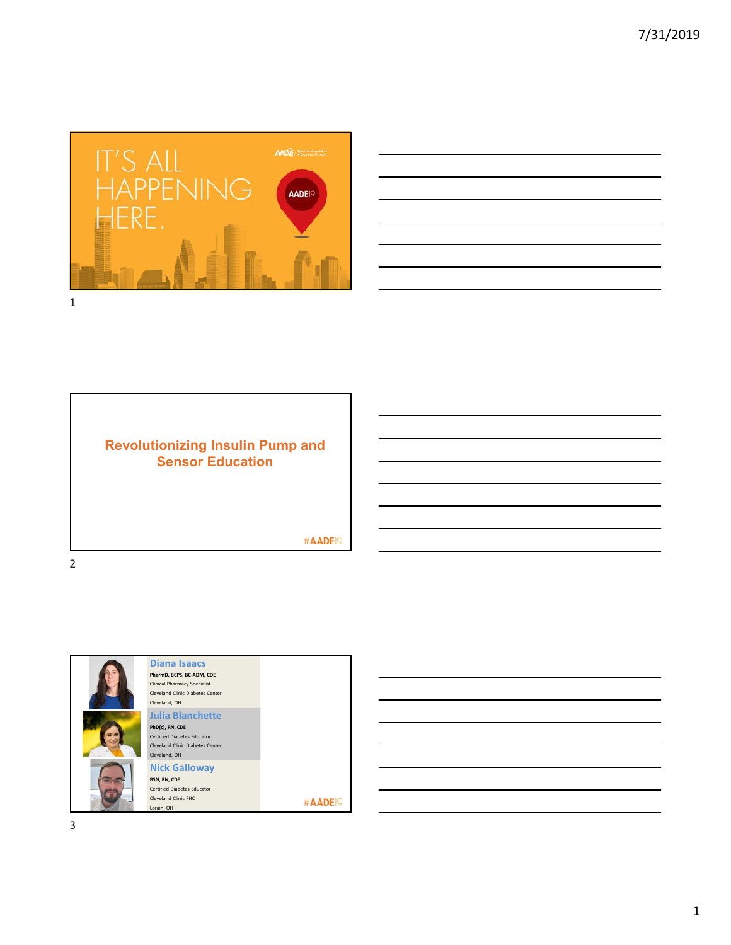



# **Revolutionizing Insulin Pump and Sensor Education**

#AADE<sup>19</sup>

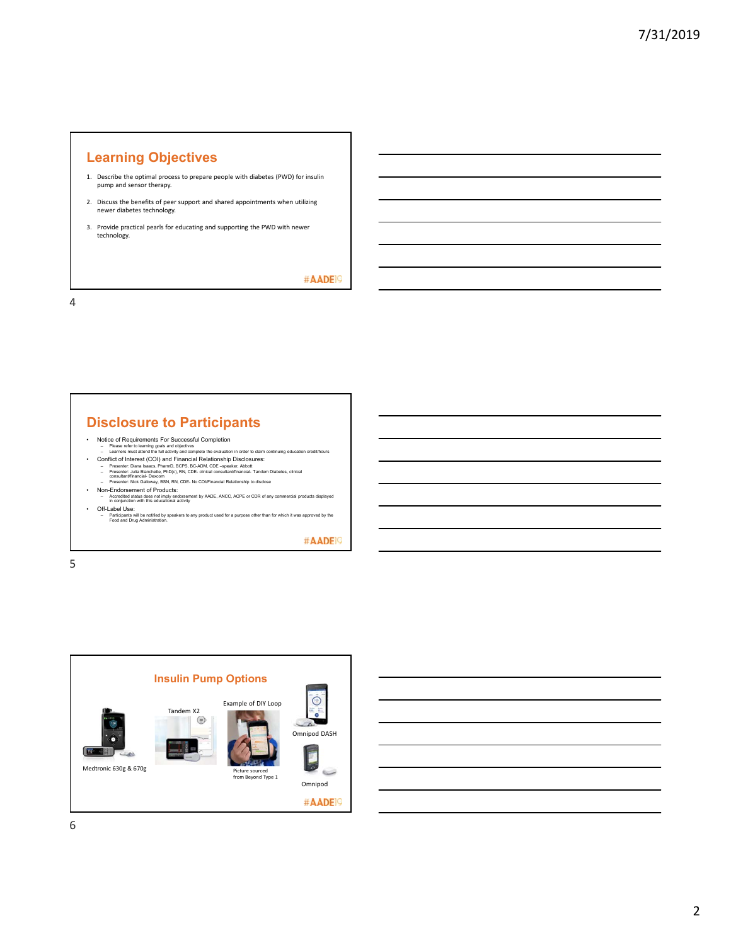## **Learning Objectives**

- 1. Describe the optimal process to prepare people with diabetes (PWD) for insulin pump and sensor therapy.
- 2. Discuss the benefits of peer support and shared appointments when utilizing newer diabetes technology.
- 3. Provide practical pearls for educating and supporting the PWD with newer technology.

#AADE<sup>19</sup>

4

# **Disclosure to Participants**

- Notice of Requirements For Successful Completion Please refer to learning goals and objectives
- Learners must attend the full activity and complete the evaluation in order to claim continuing education reddithours<br>- Confilict of Interests (COO) and Financial Relationship Disclosures:<br>- Presenter: Just Biarcenters,
- 
- 
- Off-Label Use:
- Participants will be notified by speakers to any product used for a purpose other than for which it was approved by the Food and Drug Administration.

#AADE<sup>19</sup>

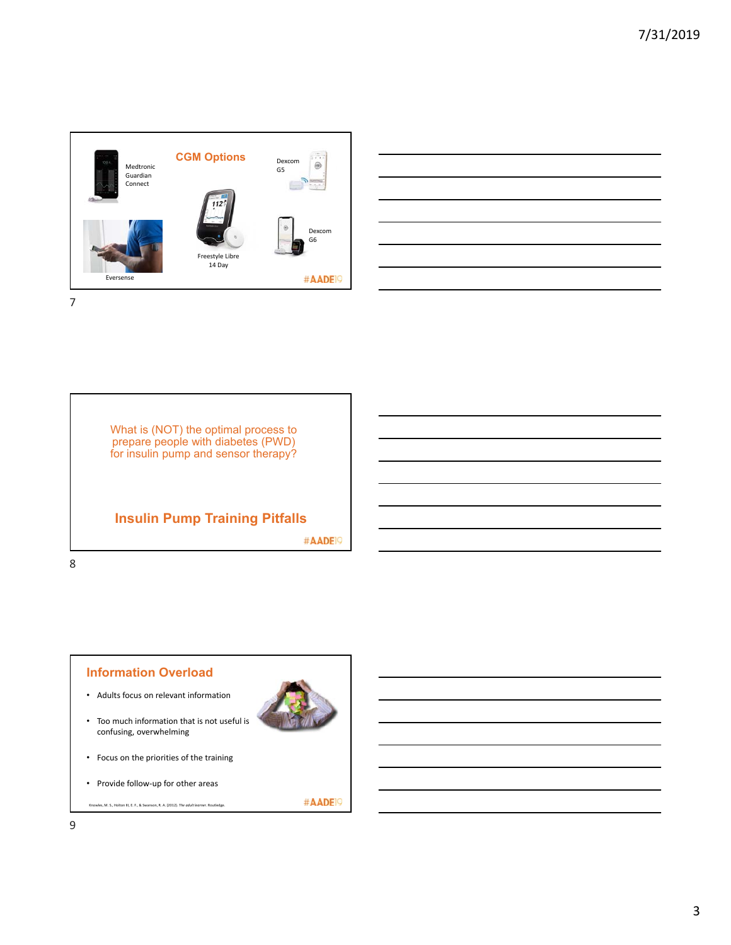





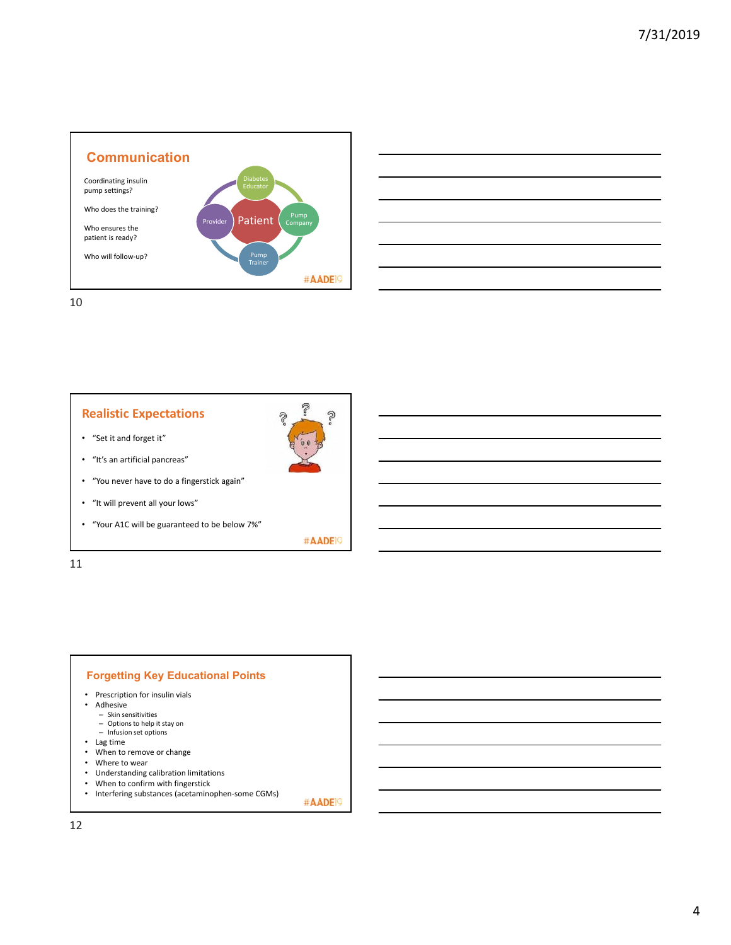



# **Realistic Expectations**

- "Set it and forget it"
- "It's an artificial pancreas"
- "You never have to do a fingerstick again"
- "It will prevent all your lows"
- "Your A1C will be guaranteed to be below 7%"

#AADE<sup>19</sup>

7

2

P

11

#### **Forgetting Key Educational Points**

- Prescription for insulin vials
- Adhesive
	- Skin sensitivities Options to help it stay on
	- Infusion set options
- Lag time
- When to remove or change
- Where to wear
- Understanding calibration limitations
- When to confirm with fingerstick
- Interfering substances (acetaminophen-some CGMs)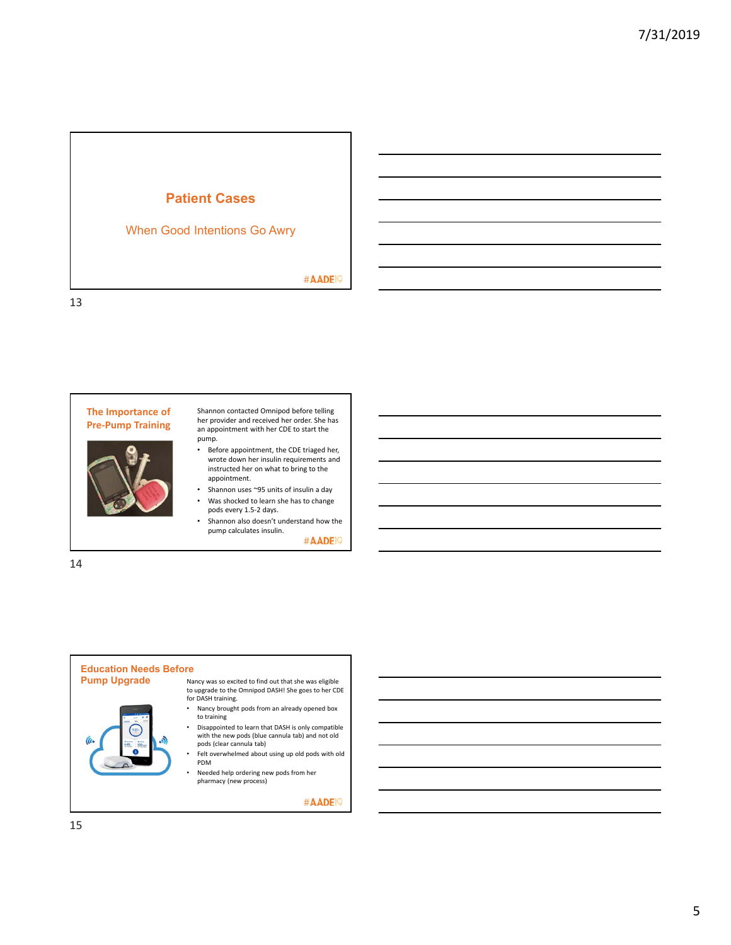



Shannon contacted Omnipod before telling her provider and received her order. She has an appointment with her CDE to start the pump.

- Before appointment, the CDE triaged her, wrote down her insulin requirements and instructed her on what to bring to the appointment.
- Shannon uses ~95 units of insulin a day • Was shocked to learn she has to change
- pods every 1.5‐2 days. • Shannon also doesn't understand how the pump calculates insulin.

#AADE<sup>19</sup>

14

#### **Education Needs Before**



- **Pump Upgrade** Nancy was so excited to find out that she was eligible to upgrade to the Omnipod DASH! She goes to her CDE for DASH training.
	- Nancy brought pods from an already opened box to training
	- Disappointed to learn that DASH is only compatible with the new pods (blue cannula tab) and not old pods (clear cannula tab)
	- Felt overwhelmed about using up old pods with old PDM
	- Needed help ordering new pods from her pharmacy (new process)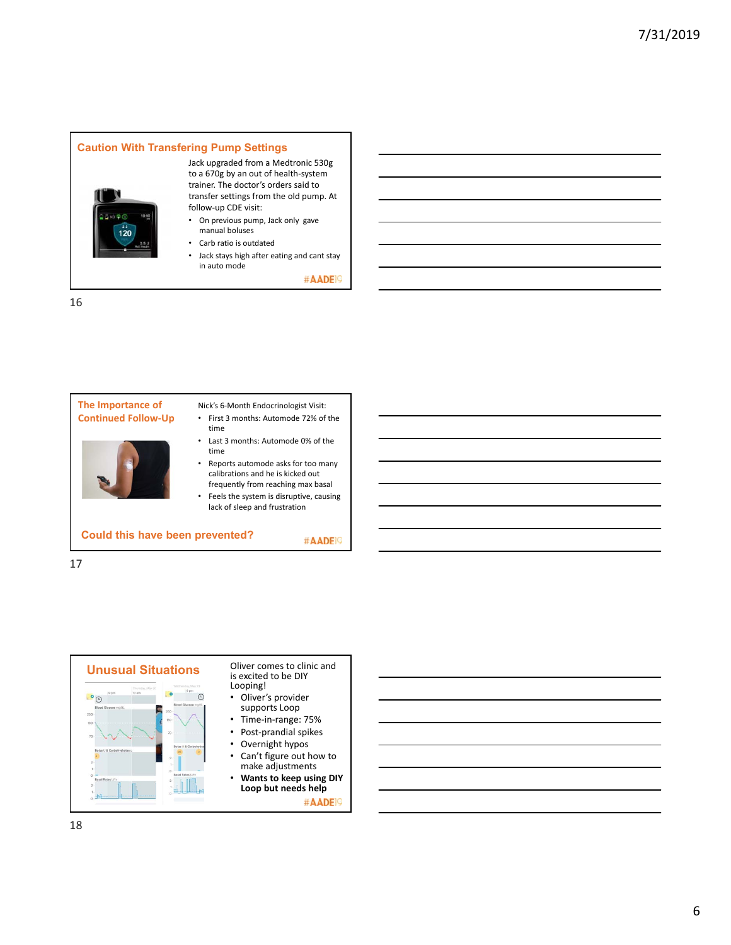#### **Caution With Transfering Pump Settings**



Jack upgraded from a Medtronic 530g to a 670g by an out of health‐system trainer. The doctor's orders said to transfer settings from the old pump. At follow‐up CDE visit:

- On previous pump, Jack only gave manual boluses
- Carb ratio is outdated
- Jack stays high after eating and cant stay in auto mode

#AADE<sup>19</sup>

#AADE<sup>19</sup>

16



- Nick's 6‐Month Endocrinologist Visit:
- First 3 months: Automode 72% of the time
- Last 3 months: Automode 0% of the time
- Reports automode asks for too many calibrations and he is kicked out frequently from reaching max basal
- Feels the system is disruptive, causing lack of sleep and frustration

#### **Could this have been prevented?**

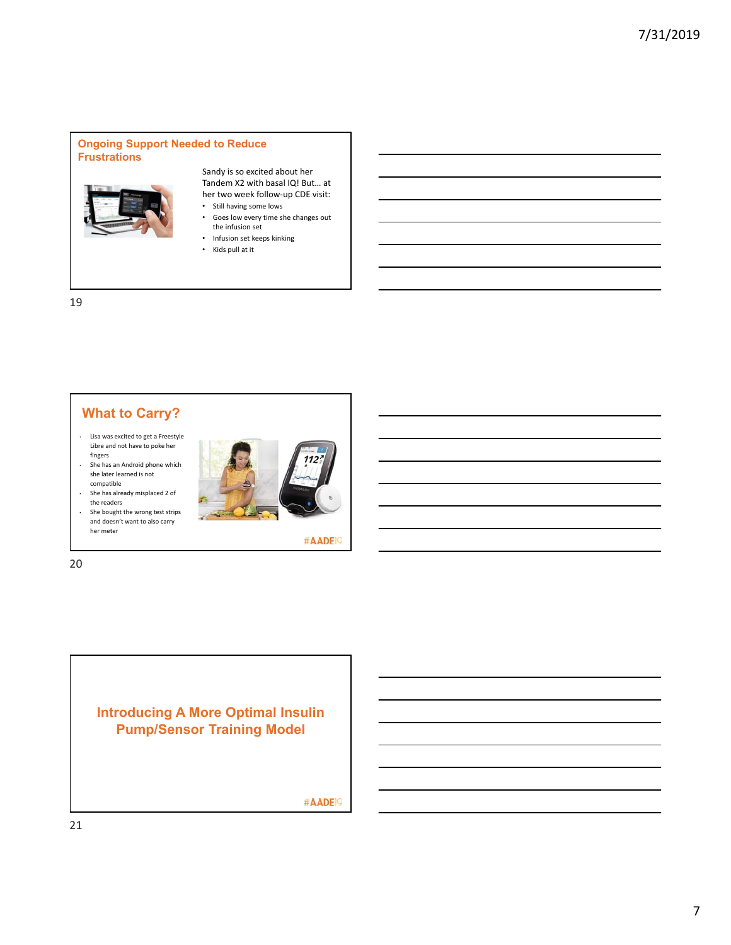#### **Ongoing Support Needed to Reduce Frustrations**



Sandy is so excited about her Tandem X2 with basal IQ! But… at her two week follow‐up CDE visit:

- Still having some lows
- Goes low every time she changes out the infusion set
- Infusion set keeps kinking
- Kids pull at it

19

# **What to Carry?**

- Lisa was excited to get a Freestyle Libre and not have to poke her fingers
- She has an Android phone which she later learned is not compatible
- She has already misplaced 2 of the readers
- She bought the wrong test strips and doesn't want to also carry her meter



#AADE<sup>19</sup>

20

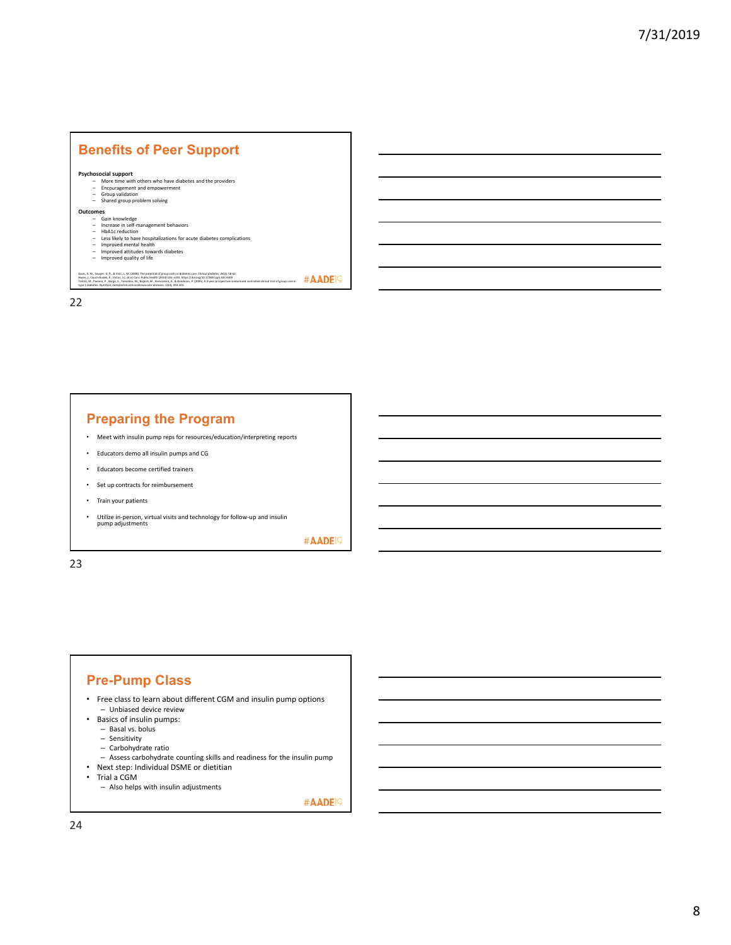

#### **Preparing the Program**

- Meet with insulin pump reps for resources/education/interpreting reports
- Educators demo all insulin pumps and CG
- Educators become certified trainers • Set up contracts for reimbursement
- Train your patients
- Utilize in‐person, virtual visits and technology for follow‐up and insulin pump adjustments

#AADE<sup>19</sup>

23

#### **Pre-Pump Class**

- Free class to learn about different CGM and insulin pump options – Unbiased device review
- Basics of insulin pumps:
	- Basal vs. bolus
	- Sensitivity
	- Carbohydrate ratio
	- Assess carbohydrate counting skills and readiness for the insulin pump
- Next step: Individual DSME or dietitian
- Trial a CGM
	- Also helps with insulin adjustments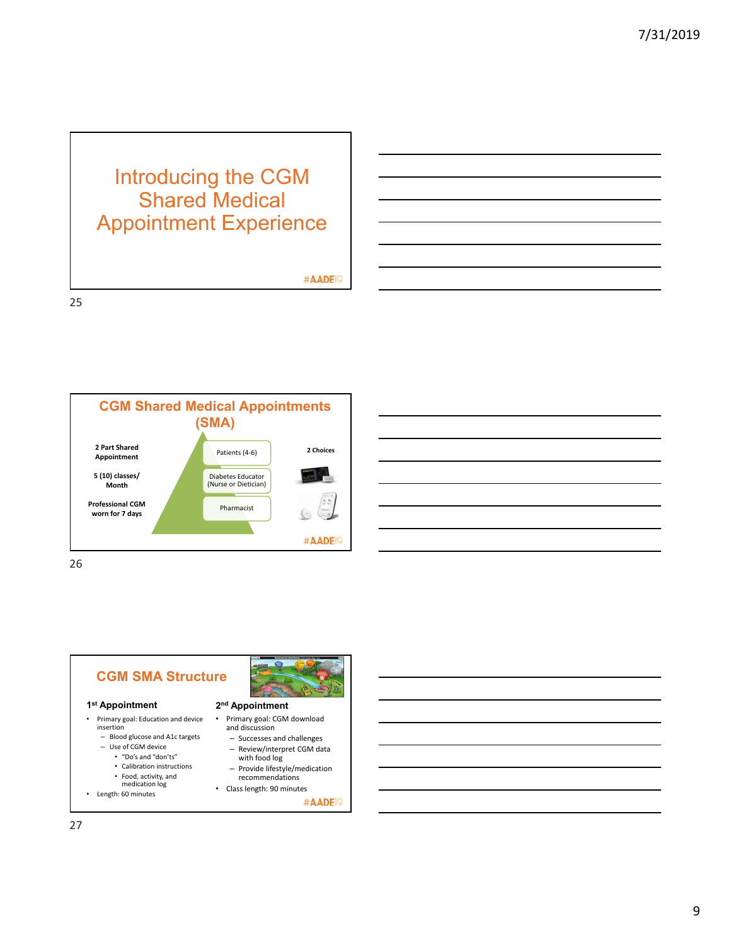# Introducing the CGM Shared Medical Appointment Experience

#AADE<sup>19</sup>

25



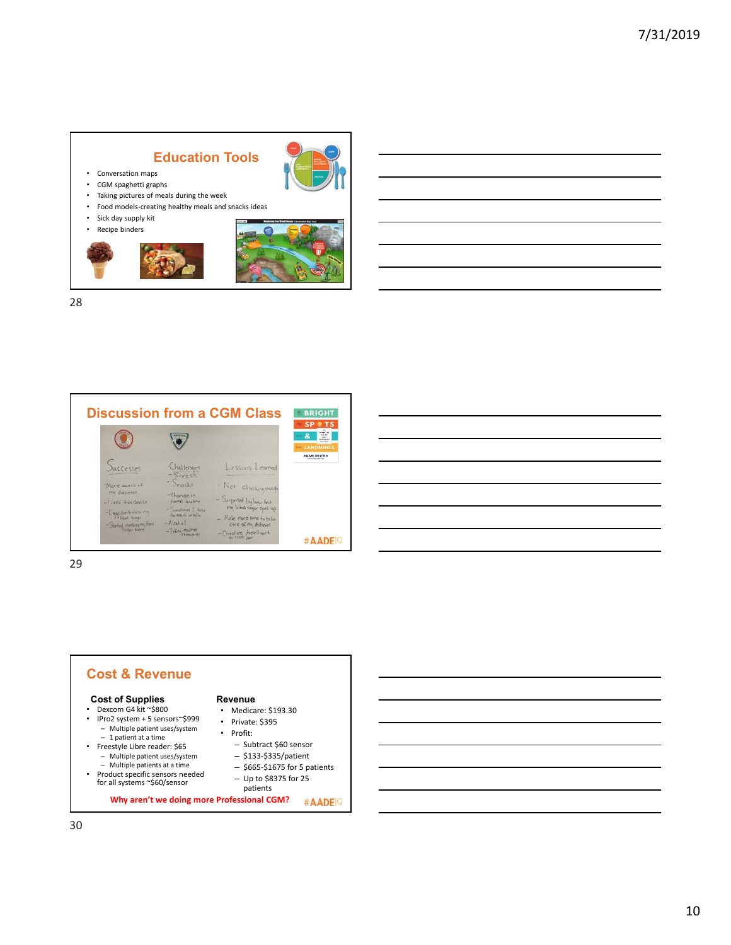# **Education Tools**



- Conversation maps • CGM spaghetti graphs
- Taking pictures of meals during the week
- Food models‐creating healthy meals and snacks ideas
- Sick day supply kit
- Recipe binders



28



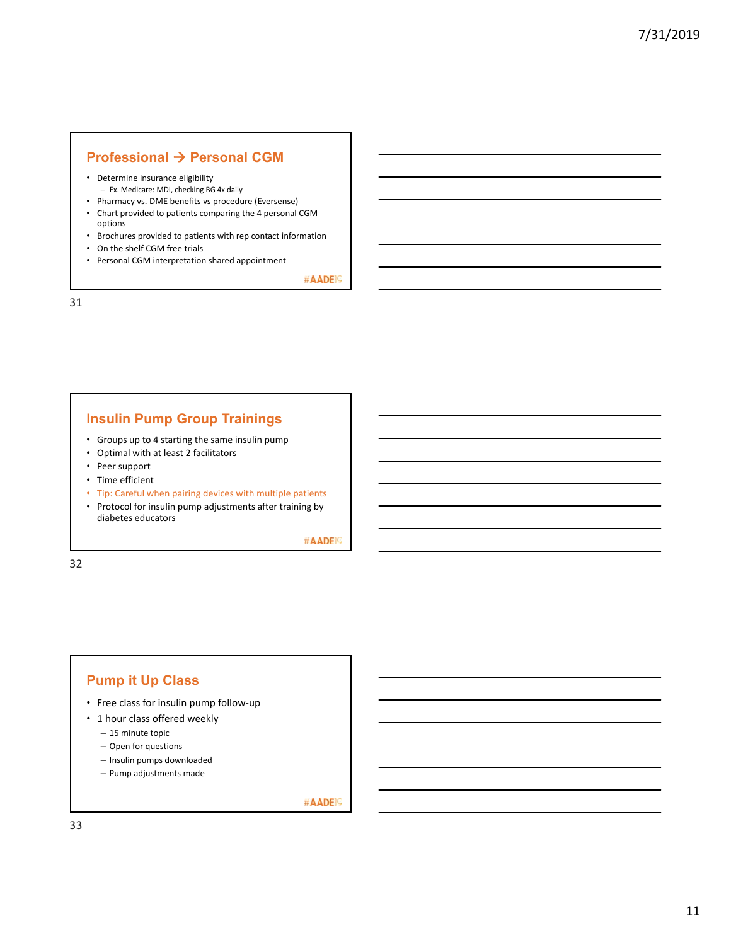# **Professional**  $\rightarrow$  **Personal CGM**

- Determine insurance eligibility
- Ex. Medicare: MDI, checking BG 4x daily
- Pharmacy vs. DME benefits vs procedure (Eversense)
- Chart provided to patients comparing the 4 personal CGM options
- Brochures provided to patients with rep contact information
- On the shelf CGM free trials
- Personal CGM interpretation shared appointment

#AADE<sup>19</sup>

31

#### **Insulin Pump Group Trainings**

- Groups up to 4 starting the same insulin pump
- Optimal with at least 2 facilitators
- Peer support
- Time efficient
- Tip: Careful when pairing devices with multiple patients
- Protocol for insulin pump adjustments after training by diabetes educators

#AADE<sup>19</sup>

32

# **Pump it Up Class**

- Free class for insulin pump follow‐up
- 1 hour class offered weekly
	- 15 minute topic
	- Open for questions
	- Insulin pumps downloaded
	- Pump adjustments made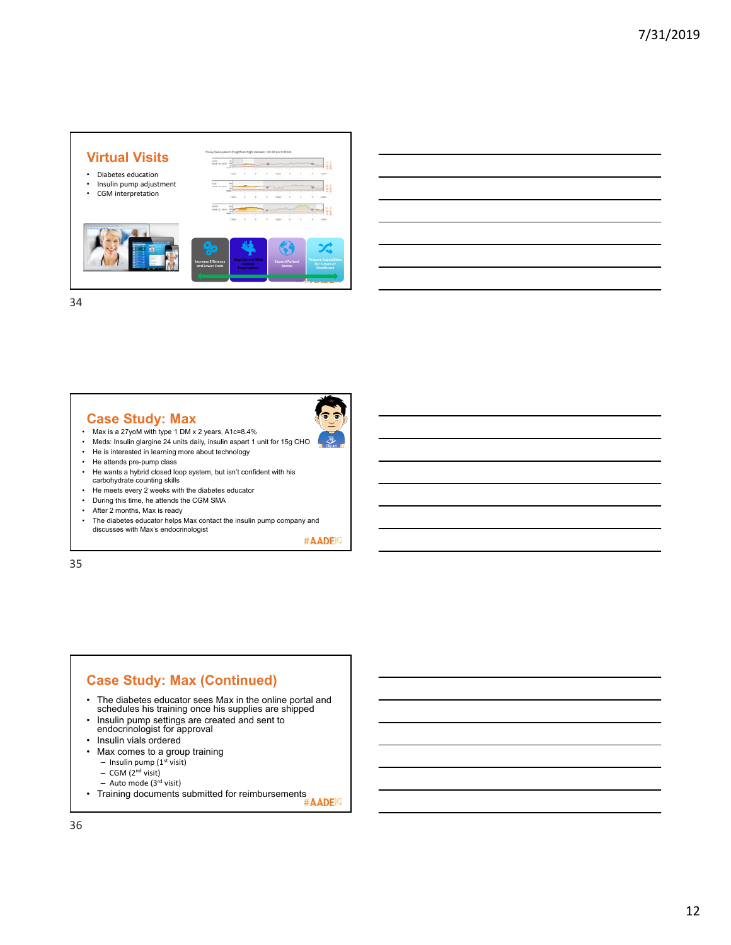

# **Case Study: Max**

- 
- Max is a 27yoM with type 1 DM x 2 years. A1c=8.4% • Meds: Insulin glargine 24 units daily, insulin aspart 1 unit for 15g CHO
- He is interested in learning more about technology
- He attends pre-pump class
- He wants a hybrid closed loop system, but isn't confident with his carbohydrate counting skills
- He meets every 2 weeks with the diabetes educator
- During this time, he attends the CGM SMA
- After 2 months, Max is ready
- The diabetes educator helps Max contact the insulin pump company and discusses with Max's endocrinologist

#AADE<sup>19</sup>

35

# **Case Study: Max (Continued)**

- The diabetes educator sees Max in the online portal and schedules his training once his supplies are shipped
- Insulin pump settings are created and sent to endocrinologist for approval
- Insulin vials ordered
- 
- Max comes to a group training  $-$  Insulin pump (1<sup>st</sup> visit)
	- $-$  CGM (2<sup>nd</sup> visit)
	- Auto mode (3rd visit)
- 
- Training documents submitted for reimbursements #AADEI9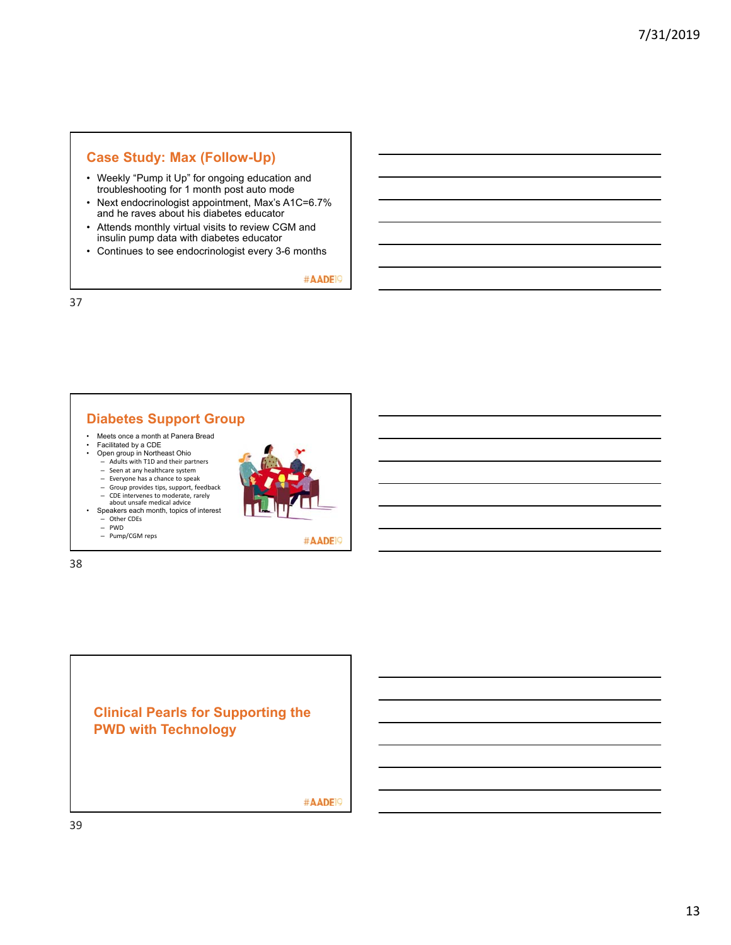# **Case Study: Max (Follow-Up)**

- Weekly "Pump it Up" for ongoing education and troubleshooting for 1 month post auto mode
- Next endocrinologist appointment, Max's A1C=6.7% and he raves about his diabetes educator
- Attends monthly virtual visits to review CGM and insulin pump data with diabetes educator
- Continues to see endocrinologist every 3-6 months

#AADE<sup>19</sup>

37

# **Diabetes Support Group**

- Meets once a month at Panera Bread Facilitated by a CDE
- Open group in Northeast Ohio
	- Adults with T1D and their partners Seen at any healthcare system
	- Everyone has a chance to speak
	- Group provides tips, support, feedback CDE intervenes to moderate, rarely about unsafe medical advice
- Speakers each month, topics of interest



- Other CDEs PWD
- Pump/CGM reps

38



#AADE<sup>19</sup>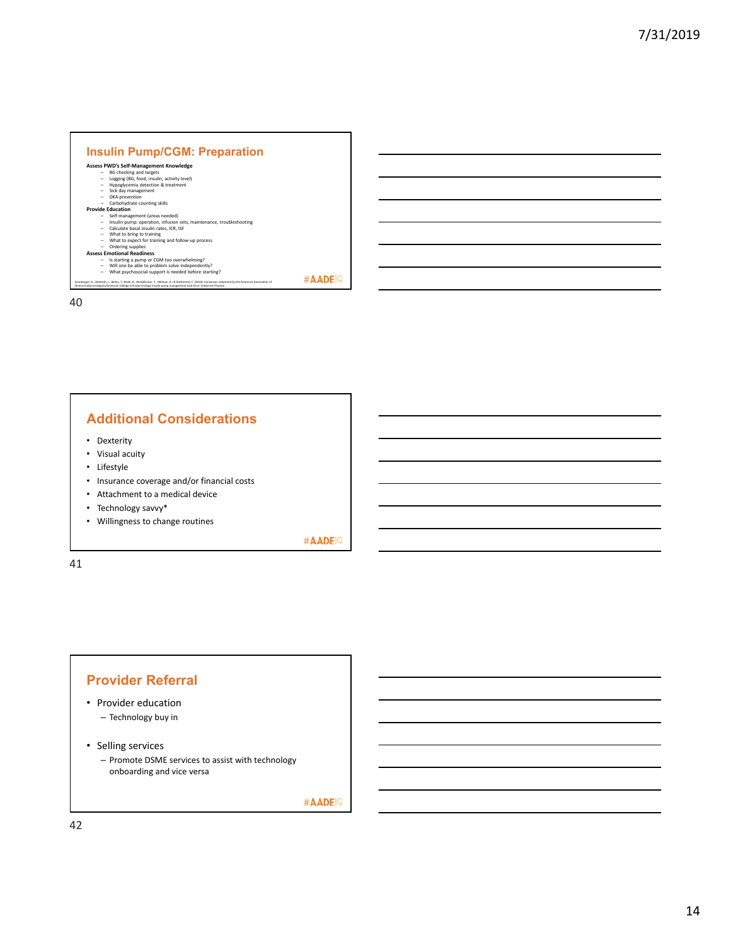| Assess PWD's Self-Management Knowledge                                         |  |
|--------------------------------------------------------------------------------|--|
| <b>BG</b> checking and targets                                                 |  |
| Logging (BG, food, insulin, activity level)                                    |  |
| Hypoglycemia detection & treatment<br>$\sim$                                   |  |
| Sick day management<br>$\sim$                                                  |  |
| DKA prevention<br>$\sim$                                                       |  |
| Carbohydrate counting skills<br>-                                              |  |
| <b>Provide Education</b>                                                       |  |
| Self-management (areas needed)                                                 |  |
| Insulin pump: operation, infusion sets, maintenance, troubleshooting<br>$\sim$ |  |
| Calculate basal insulin rates, ICR, ISF<br>. .                                 |  |
| What to bring to training<br>. .                                               |  |
| What to expect for training and follow-up process                              |  |
| Ordering supplies<br>-                                                         |  |
| <b>Assess Emotional Readiness</b>                                              |  |
| Is starting a pump or CGM too overwhelming?                                    |  |
| Will one be able to problem solve independently?<br>-                          |  |
| What psychosocial support is needed before starting?<br>$\sim$                 |  |

# **Additional Considerations**

- Dexterity
- Visual acuity
- Lifestyle
- Insurance coverage and/or financial costs
- Attachment to a medical device
- Technology savvy\*
- Willingness to change routines

#AADE<sup>19</sup>

41

### **Provider Referral**

- Provider education
	- Technology buy in
- Selling services
	- Promote DSME services to assist with technology onboarding and vice versa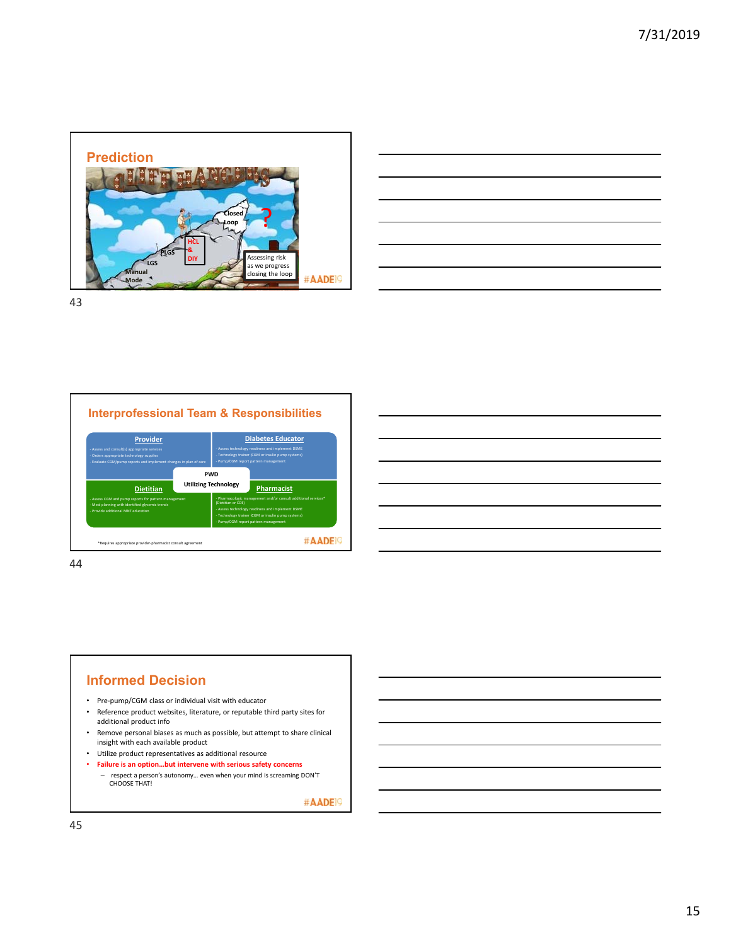



43



# **Informed Decision**

- Pre‐pump/CGM class or individual visit with educator
- Reference product websites, literature, or reputable third party sites for additional product info
- Remove personal biases as much as possible, but attempt to share clinical insight with each available product
- Utilize product representatives as additional resource
- **Failure is an option…but intervene with serious safety concerns**
	- respect a person's autonomy… even when your mind is screaming DON'T CHOOSE THAT!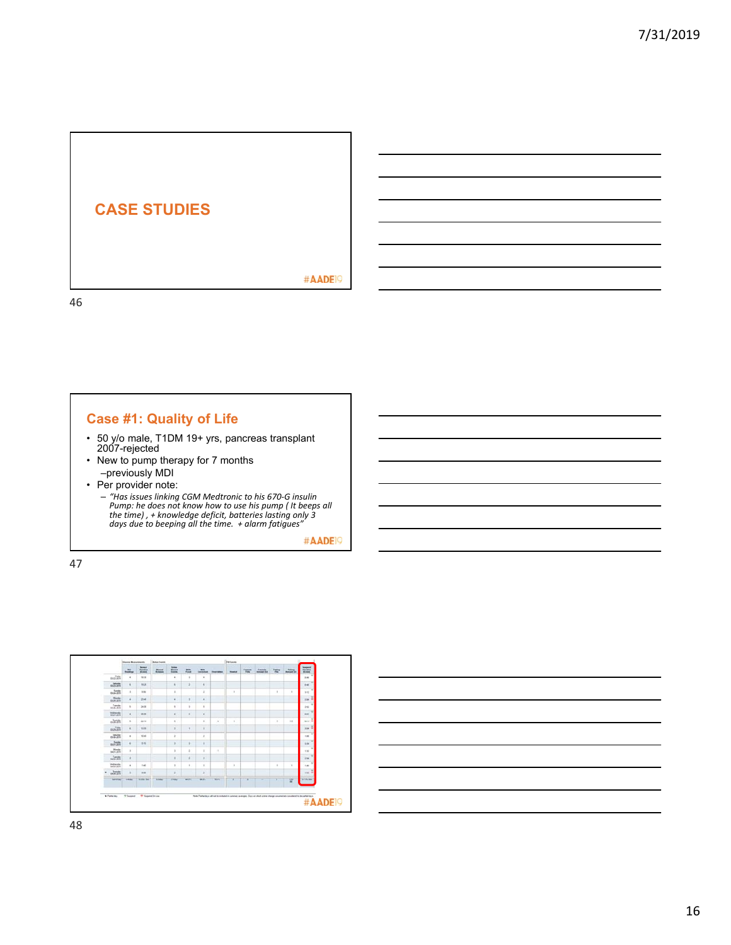

# **Case #1: Quality of Life**

- 50 y/o male, T1DM 19+ yrs, pancreas transplant 2007-rejected
- New to pump therapy for 7 months –previously MDI
- Per provider note:
	- "Has issues linking CGM Medtronic to his 670-G insulin<br>Pump: he does not know how to use his pump ( It beeps all<br>the time) , + knowledge deficit, batteries lasting only 3<br>days due to beeping all the time. + alarm fatigue

#AADE<sup>19</sup>



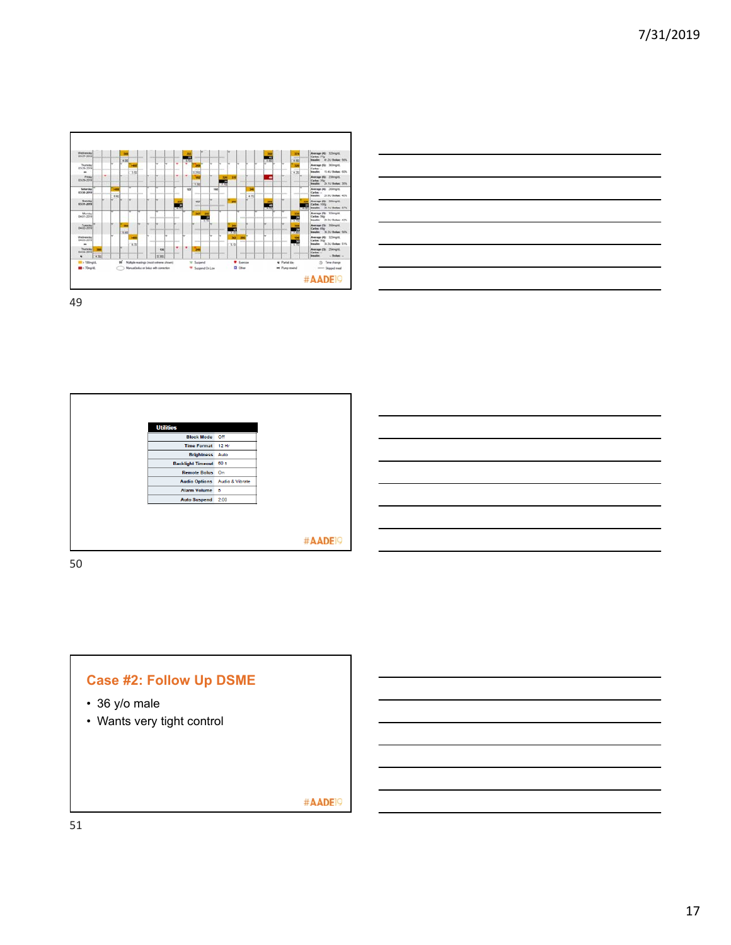



| <b>Utilities</b>       |                 |                    |
|------------------------|-----------------|--------------------|
| <b>Block Mode</b>      | Off             |                    |
| <b>Time Format</b>     | 12 Hr           |                    |
| Brightness Auto        |                 |                    |
| Backlight Timeout 60 s |                 |                    |
| <b>Remote Bolus</b>    | On              |                    |
| <b>Audio Options</b>   | Audio & Vibrate |                    |
| <b>Alarm Volume</b>    | 5               |                    |
| <b>Auto Suspend</b>    | 2:00            |                    |
|                        |                 |                    |
|                        |                 |                    |
|                        |                 |                    |
|                        |                 |                    |
|                        |                 | #AADE <sup>o</sup> |

50

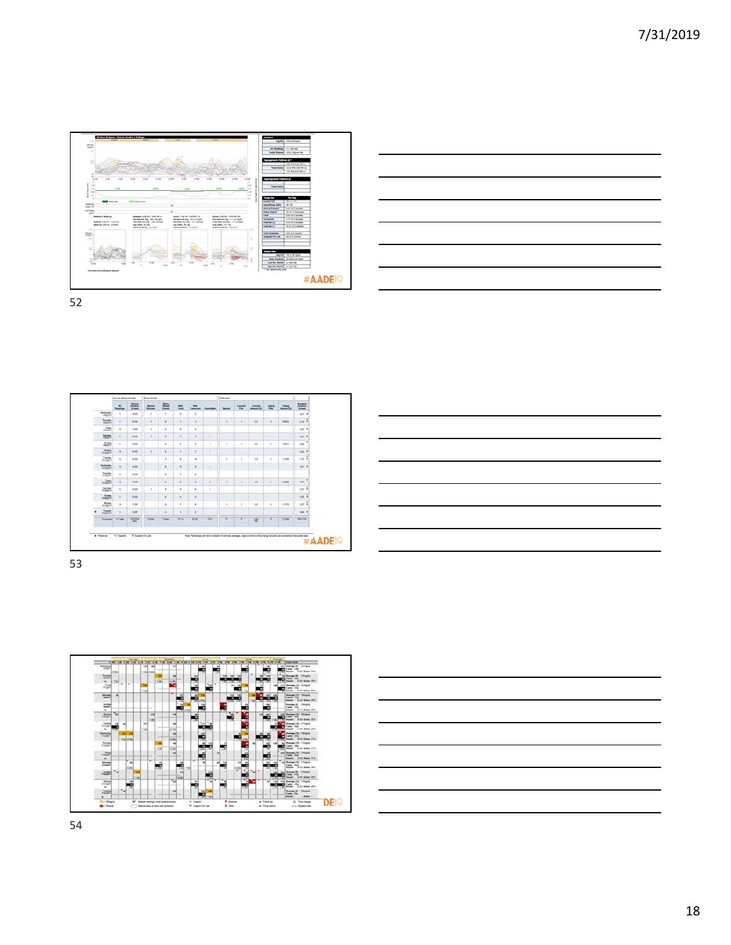



 $\Gamma$ 

| $^{46}$<br><b>Basico</b>           | <b>barner</b><br><b><i><u>But allows</u></i></b><br><b>Burnet</b> | 200          |             | 皿               | $\sim$<br><b>Canadian</b> | <b><i><u>Theodore</u></i></b> | <b>Readed</b> | Elements<br>$F_{\text{max}}$ | $rac{1}{2}$ | <b>Teles</b>  |            | baged.<br><b>PLANNE</b>               |
|------------------------------------|-------------------------------------------------------------------|--------------|-------------|-----------------|---------------------------|-------------------------------|---------------|------------------------------|-------------|---------------|------------|---------------------------------------|
| $\rightarrow$                      | 3400                                                              | ٠            | ×           | $\mathbf{r}$    | ٠                         |                               |               |                              |             |               |            | 201.7                                 |
| ٠                                  | 23.90                                                             | ٠            | ٠           | Y.              | ٠                         |                               | 4             | ٠                            | $x +$       | $\pi$         | 4.8723     | 216.9                                 |
| $\pm$                              | 1940                                                              | ٠            | ٠           | $\mathbf{A}$    | ٠                         |                               |               |                              |             |               |            | $447$ $#$                             |
| $\alpha$                           | 24.06                                                             | ٠            | $\epsilon$  | ×               | $\mathbf{r}$              | ¥                             |               |                              |             |               |            | 301 7                                 |
| ٠                                  | 2336                                                              |              | ٠           | $\pm$           | $\ddot{\phantom{1}}$      | ×                             | $\mathcal{C}$ | $\mathbb{R}^+$               | 12.2        | $\mathcal{I}$ | 18912      | ٠<br>'on                              |
| $\sim$                             | 23.62                                                             | ×            | $\kappa$    | ÷.              | ×                         | $\mathbf{x}$                  |               |                              |             |               |            | 102                                   |
| $1\%$                              | 34.02                                                             |              | ×           | $\,$            | $\approx$                 |                               | ٠             |                              | 11          | $\,$          | <b>LMB</b> | <b>Did #</b>                          |
| $\mathbf{u}$                       | 2340                                                              |              | $\bullet$   | $\blacksquare$  | ٠                         |                               |               |                              |             |               |            | $441 - 7$<br><b>COST</b>              |
| $\frac{1}{2}$                      | 25.88                                                             |              | ٠           | ٠               | ٠                         |                               |               |                              |             |               |            |                                       |
| $\pm$                              | m, m                                                              |              | ٠           | ٠               | ٠                         | ×                             | $\pm$         | ٠                            | $+1$        | $\mathcal{L}$ | 1288       | ×<br>127                              |
| $\mathbb{I}^{\sigma}_{\mathbf{z}}$ | 34.02                                                             | $\mathbb{R}$ | ٠           | $\,$            | ٠                         | $\tau$                        |               |                              |             |               |            | $527 - 8$                             |
|                                    | 25.95                                                             |              | ×           | ٠               | ×                         |                               |               |                              |             |               |            | 125.7                                 |
| $\mathbf{u}$                       | 2112                                                              |              | ٠           | $\tau$          | ٠                         |                               | ×             | ٠                            | 83          | ٠             | 13718      | $127 - 9$                             |
| x                                  | vans.                                                             |              | ٠           |                 | a                         |                               |               |                              |             |               |            | $00k$ W                               |
| <b>Hillage</b>                     | <b>Unified</b>                                                    | the          | <b>Film</b> | W <sub>79</sub> | <b>KEY</b>                | Tex.                          |               |                              | 燮           | ٠             | 23.44      | Den Ulm                               |
|                                    |                                                                   |              |             | 薑               |                           |                               |               |                              |             |               |            | $\frac{7.4 \times 10}{4 \times 1000}$ |





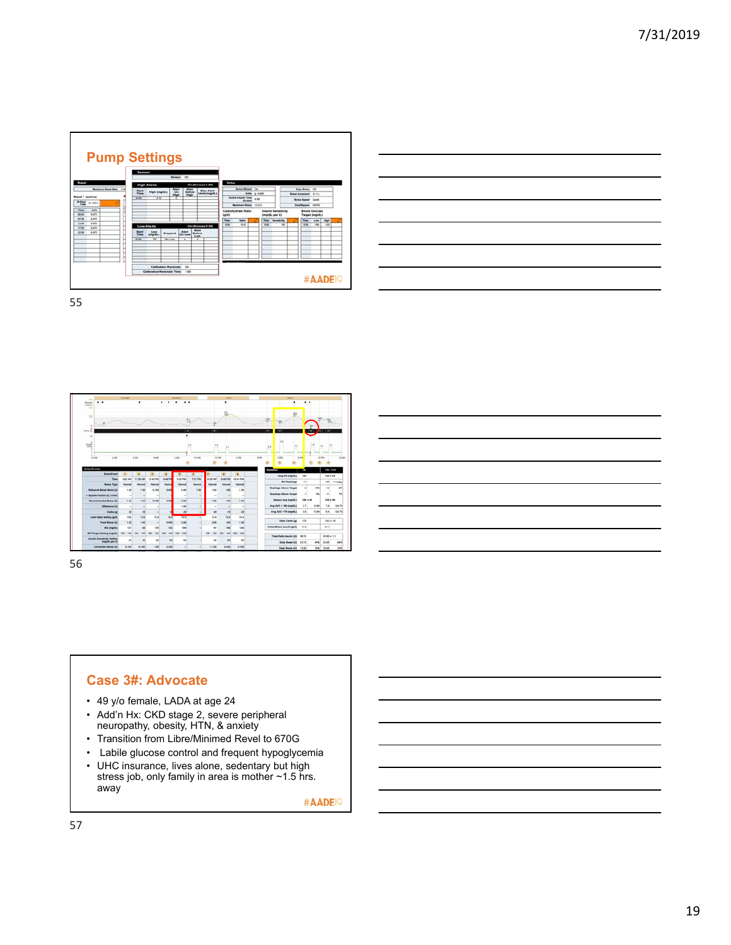





56

#### **Case 3#: Advocate**

- 49 y/o female, LADA at age 24
- Add'n Hx: CKD stage 2, severe peripheral neuropathy, obesity, HTN, & anxiety
- Transition from Libre/Minimed Revel to 670G
- Labile glucose control and frequent hypoglycemia
- UHC insurance, lives alone, sedentary but high stress job, only family in area is mother ~1.5 hrs. away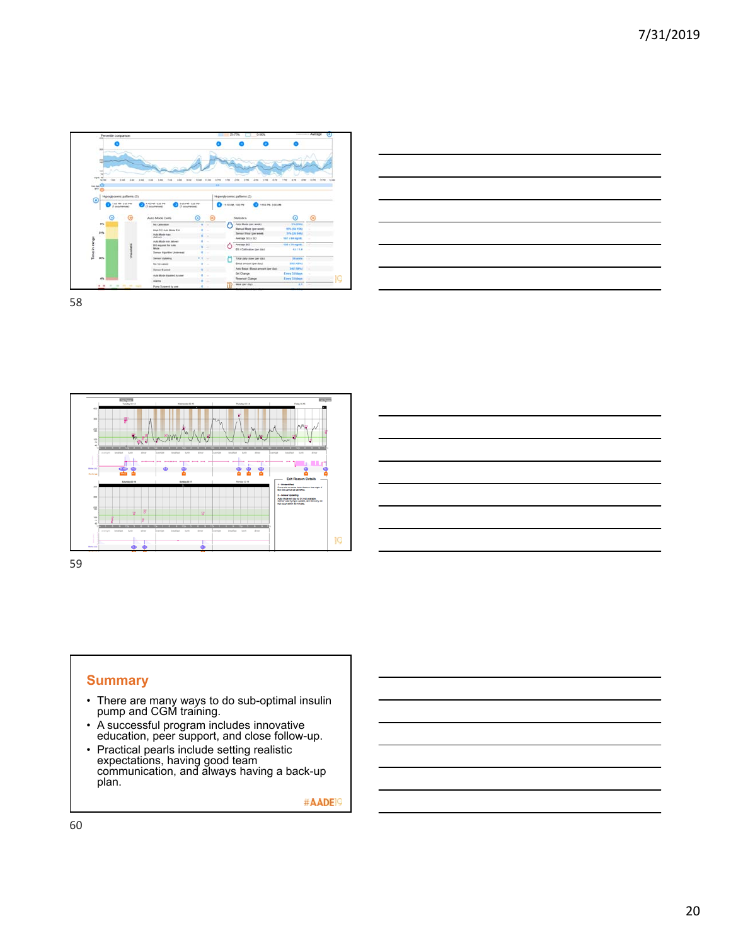







#### **Summary**

- There are many ways to do sub-optimal insulin pump and CGM training.
- A successful program includes innovative education, peer support, and close follow-up.
- Practical pearls include setting realistic expectations, having good team communication, and always having a back-up plan.